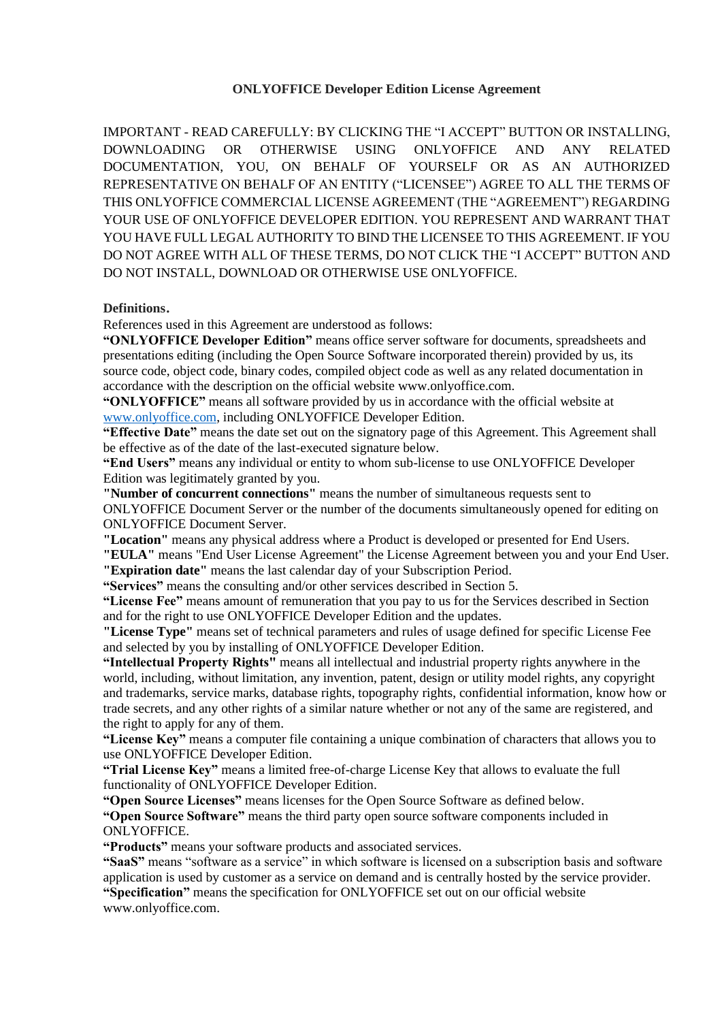#### **ONLYOFFICE Developer Edition License Agreement**

IMPORTANT - READ CAREFULLY: BY CLICKING THE "I ACCEPT" BUTTON OR INSTALLING, DOWNLOADING OR OTHERWISE USING ONLYOFFICE AND ANY RELATED DOCUMENTATION, YOU, ON BEHALF OF YOURSELF OR AS AN AUTHORIZED REPRESENTATIVE ON BEHALF OF AN ENTITY ("LICENSEE") AGREE TO ALL THE TERMS OF THIS ONLYOFFICE COMMERCIAL LICENSE AGREEMENT (THE "AGREEMENT") REGARDING YOUR USE OF ONLYOFFICE DEVELOPER EDITION. YOU REPRESENT AND WARRANT THAT YOU HAVE FULL LEGAL AUTHORITY TO BIND THE LICENSEE TO THIS AGREEMENT. IF YOU DO NOT AGREE WITH ALL OF THESE TERMS, DO NOT CLICK THE "I ACCEPT" BUTTON AND DO NOT INSTALL, DOWNLOAD OR OTHERWISE USE ONLYOFFICE.

#### **Definitions**.

References used in this Agreement are understood as follows:

**"ONLYOFFICE Developer Edition"** means office server software for documents, spreadsheets and presentations editing (including the Open Source Software incorporated therein) provided by us, its source code, object code, binary codes, compiled object code as well as any related documentation in accordance with the description on the official website www.onlyoffice.com.

**"ONLYOFFICE"** means all software provided by us in accordance with the official website at [www.onlyoffice.com,](http://www.onlyoffice.com/) including ONLYOFFICE Developer Edition.

**"Effective Date"** means the date set out on the signatory page of this Agreement. This Agreement shall be effective as of the date of the last-executed signature below.

**"End Users"** means any individual or entity to whom sub-license to use ONLYOFFICE Developer Edition was legitimately granted by you.

**"Number of concurrent connections"** means the number of simultaneous requests sent to ONLYOFFICE Document Server or the number of the documents simultaneously opened for editing on ONLYOFFICE Document Server.

**"Location"** means any physical address where a Product is developed or presented for End Users.

**"EULA"** means "End User License Agreement" the License Agreement between you and your End User. **"Expiration date"** means the last calendar day of your Subscription Period.

**"Services"** means the consulting and/or other services described in Section 5.

**"License Fee"** means amount of remuneration that you pay to us for the Services described in Section and for the right to use ONLYOFFICE Developer Edition and the updates.

**"License Type"** means set of technical parameters and rules of usage defined for specific License Fee and selected by you by installing of ONLYOFFICE Developer Edition.

**"Intellectual Property Rights"** means all intellectual and industrial property rights anywhere in the world, including, without limitation, any invention, patent, design or utility model rights, any copyright and trademarks, service marks, database rights, topography rights, confidential information, know how or trade secrets, and any other rights of a similar nature whether or not any of the same are registered, and the right to apply for any of them.

**"License Key"** means a computer file containing a unique combination of characters that allows you to use ONLYOFFICE Developer Edition.

**"Trial License Key"** means a limited free-of-charge License Key that allows to evaluate the full functionality of ONLYOFFICE Developer Edition.

**"Open Source Licenses"** means licenses for the Open Source Software as defined below.

**"Open Source Software"** means the third party open source software components included in ONLYOFFICE.

**"Products"** means your software products and associated services.

**"SaaS"** means "software as a service" in which software is licensed on a subscription basis and software application is used by customer as a service on demand and is centrally hosted by the service provider. **"Specification"** means the specification for ONLYOFFICE set out on our official website

www.onlyoffice.com.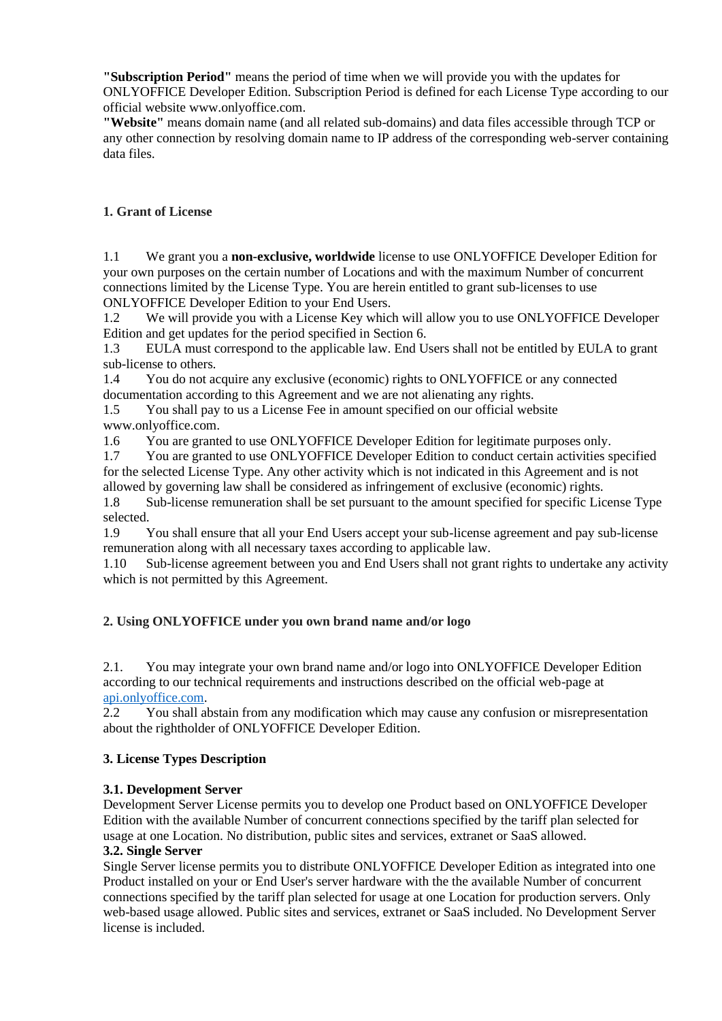**"Subscription Period"** means the period of time when we will provide you with the updates for ONLYOFFICE Developer Edition. Subscription Period is defined for each License Type according to our official website www.onlyoffice.com.

**"Website"** means domain name (and all related sub-domains) and data files accessible through TCP or any other connection by resolving domain name to IP address of the corresponding web-server containing data files.

# **1. Grant of License**

1.1 We grant you a **non-exclusive, worldwide** license to use ONLYOFFICE Developer Edition for your own purposes on the certain number of Locations and with the maximum Number of concurrent connections limited by the License Type. You are herein entitled to grant sub-licenses to use ONLYOFFICE Developer Edition to your End Users.

1.2 We will provide you with a License Key which will allow you to use ONLYOFFICE Developer Edition and get updates for the period specified in Section 6.

1.3 EULA must correspond to the applicable law. End Users shall not be entitled by EULA to grant sub-license to others.

1.4 You do not acquire any exclusive (economic) rights to ONLYOFFICE or any connected documentation according to this Agreement and we are not alienating any rights.

1.5 You shall pay to us a License Fee in amount specified on our official website www.onlyoffice.com.

1.6 You are granted to use ONLYOFFICE Developer Edition for legitimate purposes only.

1.7 You are granted to use ONLYOFFICE Developer Edition to conduct certain activities specified for the selected License Type. Any other activity which is not indicated in this Agreement and is not allowed by governing law shall be considered as infringement of exclusive (economic) rights.

1.8 Sub-license remuneration shall be set pursuant to the amount specified for specific License Type selected.

1.9 You shall ensure that all your End Users accept your sub-license agreement and pay sub-license remuneration along with all necessary taxes according to applicable law.

1.10 Sub-license agreement between you and End Users shall not grant rights to undertake any activity which is not permitted by this Agreement.

## **2. Using ONLYOFFICE under you own brand name and/or logo**

2.1. You may integrate your own brand name and/or logo into ONLYOFFICE Developer Edition according to our technical requirements and instructions described on the official web-page at [api.onlyoffice.com.](https://api.onlyoffice.com/)

2.2 You shall abstain from any modification which may cause any confusion or misrepresentation about the rightholder of ONLYOFFICE Developer Edition.

## **3. License Types Description**

## **3.1. Development Server**

Development Server License permits you to develop one Product based on ONLYOFFICE Developer Edition with the available Number of concurrent connections specified by the tariff plan selected for usage at one Location. No distribution, public sites and services, extranet or SaaS allowed.

## **3.2. Single Server**

Single Server license permits you to distribute ONLYOFFICE Developer Edition as integrated into one Product installed on your or End User's server hardware with the the available Number of concurrent connections specified by the tariff plan selected for usage at one Location for production servers. Only web-based usage allowed. Public sites and services, extranet or SaaS included. No Development Server license is included.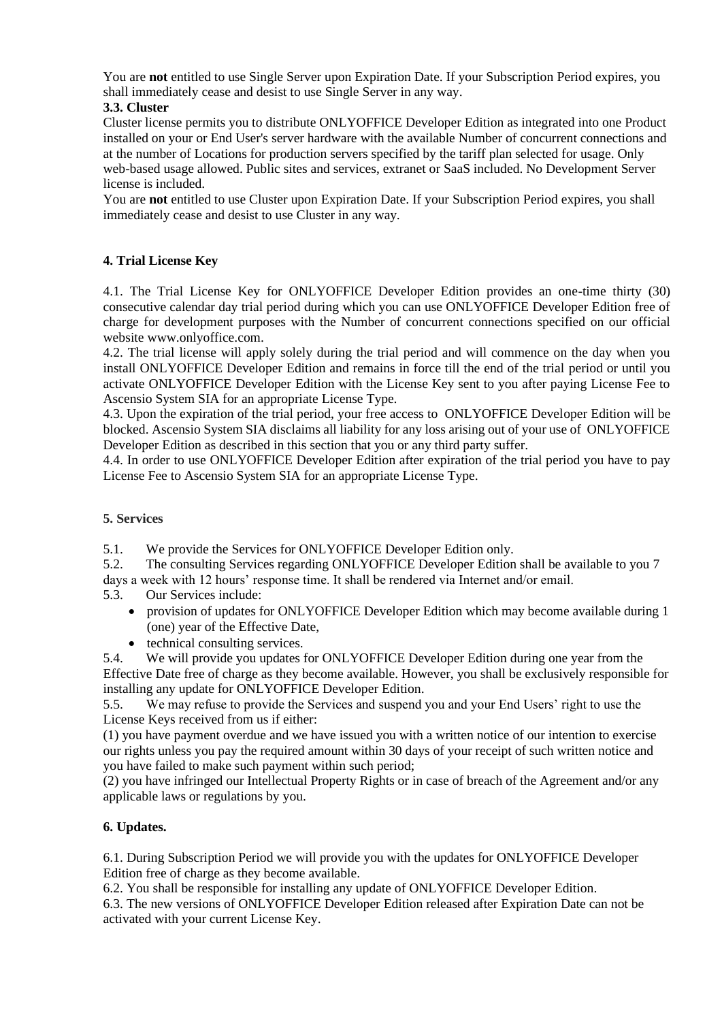You are **not** entitled to use Single Server upon Expiration Date. If your Subscription Period expires, you shall immediately cease and desist to use Single Server in any way.

## **3.3. Cluster**

Cluster license permits you to distribute ONLYOFFICE Developer Edition as integrated into one Product installed on your or End User's server hardware with the available Number of concurrent connections and at the number of Locations for production servers specified by the tariff plan selected for usage. Only web-based usage allowed. Public sites and services, extranet or SaaS included. No Development Server license is included.

You are **not** entitled to use Cluster upon Expiration Date. If your Subscription Period expires, you shall immediately cease and desist to use Cluster in any way.

## **4. Trial License Key**

4.1. The Trial License Key for ONLYOFFICE Developer Edition provides an one-time thirty (30) consecutive calendar day trial period during which you can use ONLYOFFICE Developer Edition free of charge for development purposes with the Number of concurrent connections specified on our official website www.onlyoffice.com.

4.2. The trial license will apply solely during the trial period and will commence on the day when you install ONLYOFFICE Developer Edition and remains in force till the end of the trial period or until you activate ONLYOFFICE Developer Edition with the License Key sent to you after paying License Fee to Ascensio System SIA for an appropriate License Type.

4.3. Upon the expiration of the trial period, your free access to ONLYOFFICE Developer Edition will be blocked. Ascensio System SIA disclaims all liability for any loss arising out of your use of ONLYOFFICE Developer Edition as described in this section that you or any third party suffer.

4.4. In order to use ONLYOFFICE Developer Edition after expiration of the trial period you have to pay License Fee to Ascensio System SIA for an appropriate License Type.

## **5. Services**

5.1. We provide the Services for ONLYOFFICE Developer Edition only.

5.2. The consulting Services regarding ONLYOFFICE Developer Edition shall be available to you 7 days a week with 12 hours' response time. It shall be rendered via Internet and/or email.

5.3. Our Services include:

- provision of updates for ONLYOFFICE Developer Edition which may become available during 1 (one) year of the Effective Date,
- technical consulting services.

5.4. We will provide you updates for ONLYOFFICE Developer Edition during one year from the Effective Date free of charge as they become available. However, you shall be exclusively responsible for installing any update for ONLYOFFICE Developer Edition.

5.5. We may refuse to provide the Services and suspend you and your End Users' right to use the License Keys received from us if either:

(1) you have payment overdue and we have issued you with a written notice of our intention to exercise our rights unless you pay the required amount within 30 days of your receipt of such written notice and you have failed to make such payment within such period;

(2) you have infringed our Intellectual Property Rights or in case of breach of the Agreement and/or any applicable laws or regulations by you.

## **6. Updates.**

6.1. During Subscription Period we will provide you with the updates for ONLYOFFICE Developer Edition free of charge as they become available.

6.2. You shall be responsible for installing any update of ONLYOFFICE Developer Edition.

6.3. The new versions of ONLYOFFICE Developer Edition released after Expiration Date can not be activated with your current License Key.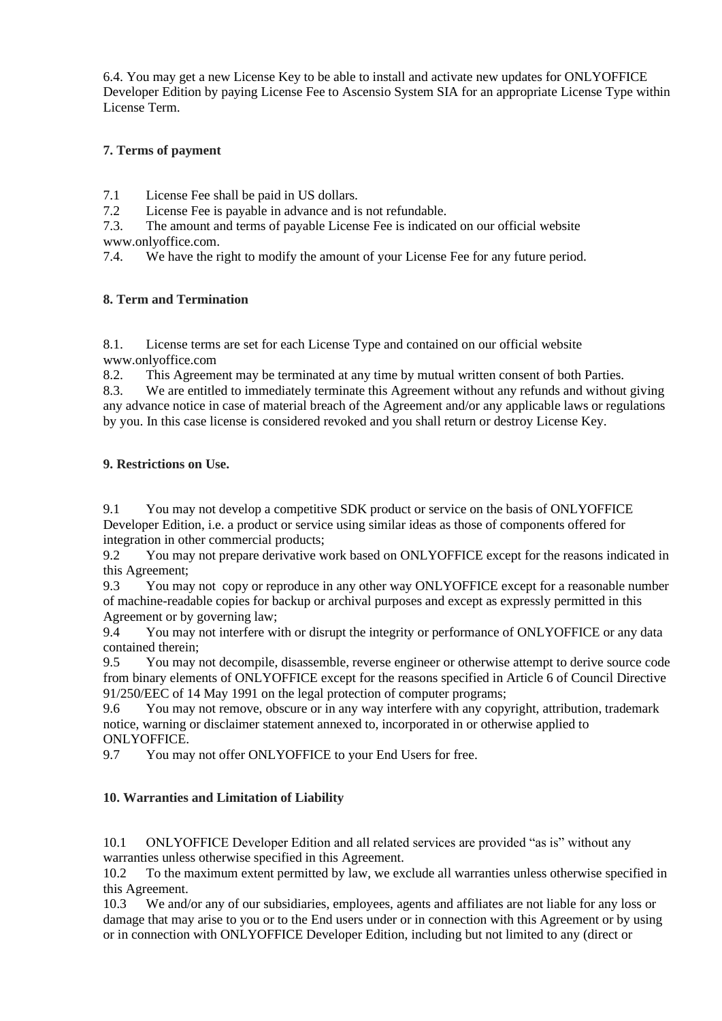6.4. You may get a new License Key to be able to install and activate new updates for ONLYOFFICE Developer Edition by paying License Fee to Ascensio System SIA for an appropriate License Type within License Term.

## **7. Terms of payment**

7.1 License Fee shall be paid in US dollars.

7.2 License Fee is payable in advance and is not refundable.

7.3. The amount and terms of payable License Fee is indicated on our official website www.onlyoffice.com.

7.4. We have the right to modify the amount of your License Fee for any future period.

### **8. Term and Termination**

8.1. License terms are set for each License Type and contained on our official website www.onlyoffice.com

8.2. This Agreement may be terminated at any time by mutual written consent of both Parties.

8.3. We are entitled to immediately terminate this Agreement without any refunds and without giving any advance notice in case of material breach of the Agreement and/or any applicable laws or regulations by you. In this case license is considered revoked and you shall return or destroy License Key.

### **9. Restrictions on Use.**

9.1 You may not develop a competitive SDK product or service on the basis of ONLYOFFICE Developer Edition, i.e. a product or service using similar ideas as those of components offered for integration in other commercial products;

9.2 You may not prepare derivative work based on ONLYOFFICE except for the reasons indicated in this Agreement;

9.3 You may not copy or reproduce in any other way ONLYOFFICE except for a reasonable number of machine-readable copies for backup or archival purposes and except as expressly permitted in this Agreement or by governing law;

9.4 You may not interfere with or disrupt the integrity or performance of ONLYOFFICE or any data contained therein;

9.5 You may not decompile, disassemble, reverse engineer or otherwise attempt to derive source code from binary elements of ONLYOFFICE except for the reasons specified in Article 6 of Council Directive 91/250/EEC of 14 May 1991 on the legal protection of computer programs;

9.6 You may not remove, obscure or in any way interfere with any copyright, attribution, trademark notice, warning or disclaimer statement annexed to, incorporated in or otherwise applied to ONLYOFFICE.

9.7 You may not offer ONLYOFFICE to your End Users for free.

## **10. Warranties and Limitation of Liability**

10.1 ONLYOFFICE Developer Edition and all related services are provided "as is" without any warranties unless otherwise specified in this Agreement.

10.2 To the maximum extent permitted by law, we exclude all warranties unless otherwise specified in this Agreement.

10.3 We and/or any of our subsidiaries, employees, agents and affiliates are not liable for any loss or damage that may arise to you or to the End users under or in connection with this Agreement or by using or in connection with ONLYOFFICE Developer Edition, including but not limited to any (direct or